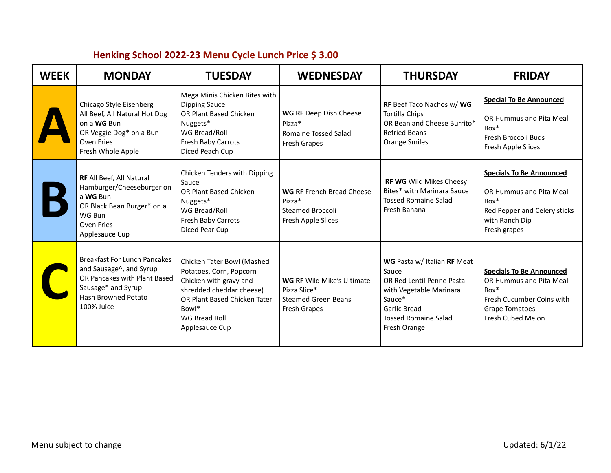| <b>WEEK</b> | <b>MONDAY</b>                                                                                                                                             | <b>TUESDAY</b>                                                                                                                                                                          | <b>WEDNESDAY</b>                                                                                | <b>THURSDAY</b>                                                                                                                                                       | <b>FRIDAY</b>                                                                                                                                   |
|-------------|-----------------------------------------------------------------------------------------------------------------------------------------------------------|-----------------------------------------------------------------------------------------------------------------------------------------------------------------------------------------|-------------------------------------------------------------------------------------------------|-----------------------------------------------------------------------------------------------------------------------------------------------------------------------|-------------------------------------------------------------------------------------------------------------------------------------------------|
|             | Chicago Style Eisenberg<br>All Beef, All Natural Hot Dog<br>on a WG Bun<br>OR Veggie Dog* on a Bun<br>Oven Fries<br>Fresh Whole Apple                     | Mega Minis Chicken Bites with<br><b>Dipping Sauce</b><br><b>OR Plant Based Chicken</b><br>Nuggets*<br>WG Bread/Roll<br>Fresh Baby Carrots<br>Diced Peach Cup                            | WG RF Deep Dish Cheese<br>$Pizza*$<br>Romaine Tossed Salad<br>Fresh Grapes                      | <b>RF</b> Beef Taco Nachos w/ WG<br><b>Tortilla Chips</b><br>OR Bean and Cheese Burrito*<br><b>Refried Beans</b><br><b>Orange Smiles</b>                              | <b>Special To Be Announced</b><br>OR Hummus and Pita Meal<br>$Box*$<br>Fresh Broccoli Buds<br>Fresh Apple Slices                                |
|             | RF All Beef, All Natural<br>Hamburger/Cheeseburger on<br>a WG Bun<br>OR Black Bean Burger* on a<br>WG Bun<br>Oven Fries<br>Applesauce Cup                 | Chicken Tenders with Dipping<br>Sauce<br>OR Plant Based Chicken<br>Nuggets*<br>WG Bread/Roll<br>Fresh Baby Carrots<br>Diced Pear Cup                                                    | WG RF French Bread Cheese<br>Pizza*<br><b>Steamed Broccoli</b><br>Fresh Apple Slices            | <b>RF WG</b> Wild Mikes Cheesy<br>Bites* with Marinara Sauce<br><b>Tossed Romaine Salad</b><br>Fresh Banana                                                           | <b>Specials To Be Announced</b><br>OR Hummus and Pita Meal<br>$Box*$<br>Red Pepper and Celery sticks<br>with Ranch Dip<br>Fresh grapes          |
|             | <b>Breakfast For Lunch Pancakes</b><br>and Sausage^, and Syrup<br>OR Pancakes with Plant Based<br>Sausage* and Syrup<br>Hash Browned Potato<br>100% Juice | Chicken Tater Bowl (Mashed<br>Potatoes, Corn, Popcorn<br>Chicken with gravy and<br>shredded cheddar cheese)<br>OR Plant Based Chicken Tater<br>Bowl*<br>WG Bread Roll<br>Applesauce Cup | <b>WG RF Wild Mike's Ultimate</b><br>Pizza Slice*<br><b>Steamed Green Beans</b><br>Fresh Grapes | WG Pasta w/ Italian RF Meat<br>Sauce<br>OR Red Lentil Penne Pasta<br>with Vegetable Marinara<br>Sauce*<br>Garlic Bread<br><b>Tossed Romaine Salad</b><br>Fresh Orange | <b>Specials To Be Announced</b><br>OR Hummus and Pita Meal<br>$Box*$<br>Fresh Cucumber Coins with<br><b>Grape Tomatoes</b><br>Fresh Cubed Melon |

## **Henking School 2022-23 Menu Cycle Lunch Price \$ 3.00**